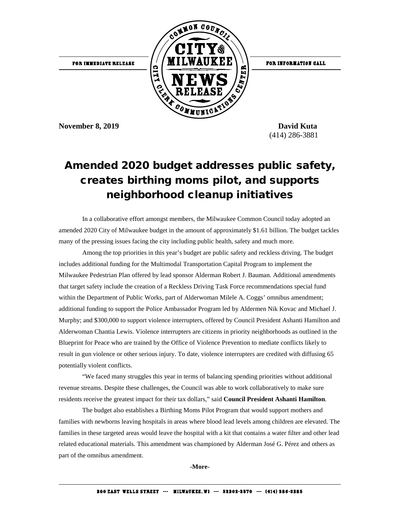

FOR INFORMATION CALL

**November 8, 2019 David Kuta** 

(414) 286-3881

## Amended 2020 budget addresses public safety, creates birthing moms pilot, and supports neighborhood cleanup initiatives

In a collaborative effort amongst members, the Milwaukee Common Council today adopted an amended 2020 City of Milwaukee budget in the amount of approximately \$1.61 billion. The budget tackles many of the pressing issues facing the city including public health, safety and much more.

Among the top priorities in this year's budget are public safety and reckless driving. The budget includes additional funding for the Multimodal Transportation Capital Program to implement the Milwaukee Pedestrian Plan offered by lead sponsor Alderman Robert J. Bauman. Additional amendments that target safety include the creation of a Reckless Driving Task Force recommendations special fund within the Department of Public Works, part of Alderwoman Milele A. Coggs' omnibus amendment; additional funding to support the Police Ambassador Program led by Aldermen Nik Kovac and Michael J. Murphy; and \$300,000 to support violence interrupters, offered by Council President Ashanti Hamilton and Alderwoman Chantia Lewis. Violence interrupters are citizens in priority neighborhoods as outlined in the Blueprint for Peace who are trained by the Office of Violence Prevention to mediate conflicts likely to result in gun violence or other serious injury. To date, violence interrupters are credited with diffusing 65 potentially violent conflicts.

"We faced many struggles this year in terms of balancing spending priorities without additional revenue streams. Despite these challenges, the Council was able to work collaboratively to make sure residents receive the greatest impact for their tax dollars," said **Council President Ashanti Hamilton**.

The budget also establishes a Birthing Moms Pilot Program that would support mothers and families with newborns leaving hospitals in areas where blood lead levels among children are elevated. The families in these targeted areas would leave the hospital with a kit that contains a water filter and other lead related educational materials. This amendment was championed by Alderman José G. Pérez and others as part of the omnibus amendment.

**-More-**